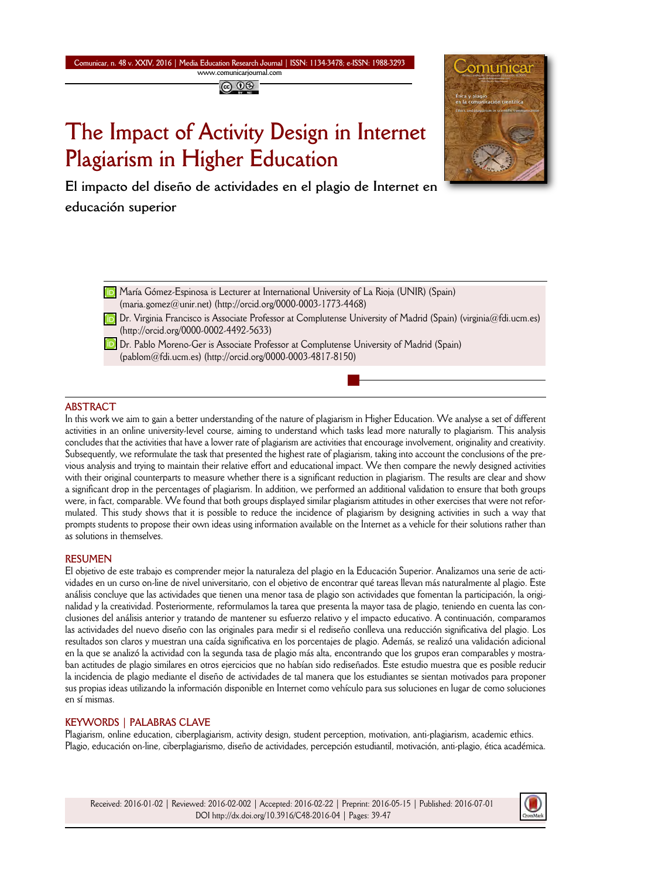**Comunicar, n. 48 v. XXIV, 2016 | Media Education Research Journal | ISSN: 1134-3478; e-ISSN: 1988-3293 www.comunicarjournal.com**

@ 00

# **The Impact of Activity Design in Internet Plagiarism in Higher Education**



**El impacto del diseño de actividades en el plagio de Internet en educación superior** 

- **D** María Gómez-Espinosa is Lecturer at International University of La Rioja (UNIR) (Spain) (maria.gomez@unir.net) (http://orcid.org/0000-0003-1773-4468)
- **D**. Virginia Francisco is Associate Professor at Complutense University of Madrid (Spain) (virginia@fdi.ucm.es) (http://orcid.org/0000-0002-4492-5633)
- **D** Dr. Pablo Moreno-Ger is Associate Professor at Complutense University of Madrid (Spain) (pablom@fdi.ucm.es) (http://orcid.org/0000-0003-4817-8150)

#### **ABSTRACT**

In this work we aim to gain a better understanding of the nature of plagiarism in Higher Education. We analyse a set of different activities in an online university-level course, aiming to understand which tasks lead more naturally to plagiarism. This analysis concludes that the activities that have a lower rate of plagiarism are activities that encourage involvement, originality and creativity. Subsequently, we reformulate the task that presented the highest rate of plagiarism, taking into account the conclusions of the previous analysis and trying to maintain their relative effort and educational impact. We then compare the newly designed activities with their original counterparts to measure whether there is a significant reduction in plagiarism. The results are clear and show a significant drop in the percentages of plagiarism. In addition, we performed an additional validation to ensure that both groups were, in fact, comparable. We found that both groups displayed similar plagiarism attitudes in other exercises that were not reformulated. This study shows that it is possible to reduce the incidence of plagiarism by designing activities in such a way that prompts students to propose their own ideas using information available on the Internet as a vehicle for their solutions rather than as solutions in themselves.

#### **RESUMEN**

El objetivo de este trabajo es comprender mejor la naturaleza del plagio en la Educación Superior. Analizamos una serie de actividades en un curso on-line de nivel universitario, con el objetivo de encontrar qué tareas llevan más naturalmente al plagio. Este análisis concluye que las actividades que tienen una menor tasa de plagio son actividades que fomentan la participación, la originalidad y la creatividad. Posteriormente, reformulamos la tarea que presenta la mayor tasa de plagio, teniendo en cuenta las conclusiones del análisis anterior y tratando de mantener su esfuerzo relativo y el impacto educativo. A continuación, comparamos las actividades del nuevo diseño con las originales para medir si el rediseño conlleva una reducción significativa del plagio. Los resultados son claros y muestran una caída significativa en los porcentajes de plagio. Además, se realizó una validación adicional en la que se analizó la actividad con la segunda tasa de plagio más alta, encontrando que los grupos eran comparables y mostraban actitudes de plagio similares en otros ejercicios que no habían sido rediseñados. Este estudio muestra que es posible reducir la incidencia de plagio mediante el diseño de actividades de tal manera que los estudiantes se sientan motivados para proponer sus propias ideas utilizando la información disponible en Internet como vehículo para sus soluciones en lugar de como soluciones en sí mismas.

#### **KEYWORDS | PALABRAS CLAVE**

Plagiarism, online education, ciberplagiarism, activity design, student perception, motivation, anti-plagiarism, academic ethics. Plagio, educación on-line, ciberplagiarismo, diseño de actividades, percepción estudiantil, motivación, anti-plagio, ética académica.

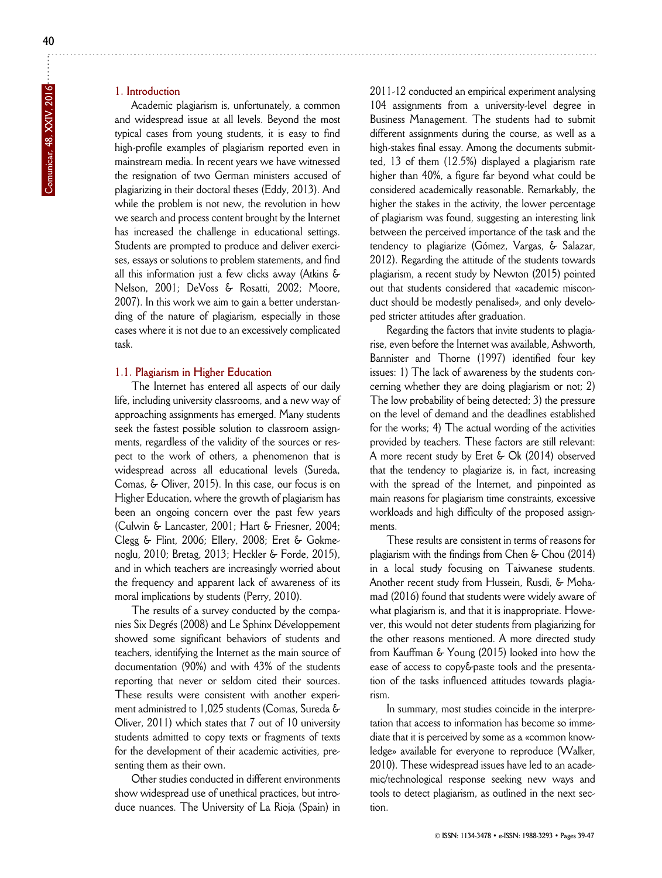#### **1. Introduction**

Academic plagiarism is, unfortunately, a common and widespread issue at all levels. Beyond the most typical cases from young students, it is easy to find high-profile examples of plagiarism reported even in mainstream media. In recent years we have witnessed the resignation of two German ministers accused of plagiarizing in their doctoral theses (Eddy, 2013). And while the problem is not new, the revolution in how we search and process content brought by the Internet has increased the challenge in educational settings. Students are prompted to produce and deliver exercises, essays or solutions to problem statements, and find all this information just a few clicks away (Atkins & Nelson, 2001; DeVoss & Rosatti, 2002; Moore, 2007). In this work we aim to gain a better understanding of the nature of plagiarism, especially in those cases where it is not due to an excessively complicated task.

#### **1.1. Plagiarism in Higher Education**

The Internet has entered all aspects of our daily life, including university classrooms, and a new way of approaching assignments has emerged. Many students seek the fastest possible solution to classroom assignments, regardless of the validity of the sources or respect to the work of others, a phenomenon that is widespread across all educational levels (Sureda, Comas, & Oliver, 2015). In this case, our focus is on Higher Education, where the growth of plagiarism has been an ongoing concern over the past few years (Culwin & Lancaster, 2001; Hart & Friesner, 2004; Clegg & Flint, 2006; Ellery, 2008; Eret & Gokme noglu, 2010; Bretag, 2013; Heckler & Forde, 2015), and in which teachers are increasingly worried about the frequency and apparent lack of awareness of its moral implications by students (Perry, 2010).

The results of a survey conducted by the companies Six Degrés (2008) and Le Sphinx Développement showed some significant behaviors of students and teachers, identifying the Internet as the main source of documentation (90%) and with 43% of the students reporting that never or seldom cited their sources. These results were consistent with another experiment administred to 1,025 students (Comas, Sureda & Oliver, 2011) which states that 7 out of 10 university students admitted to copy texts or fragments of texts for the development of their academic activities, presenting them as their own.

Other studies conducted in different environments show widespread use of unethical practices, but introduce nuances. The University of La Rioja (Spain) in

2011-12 conducted an empirical experiment analysing 104 assignments from a university-level degree in Business Management. The students had to submit different assignments during the course, as well as a high-stakes final essay. Among the documents submitted, 13 of them (12.5%) displayed a plagiarism rate higher than 40%, a figure far beyond what could be considered academically reasonable. Remarkably, the higher the stakes in the activity, the lower percentage of plagiarism was found, suggesting an interesting link between the perceived importance of the task and the tendency to plagiarize (Gómez, Vargas, & Salazar, 2012). Regarding the attitude of the students towards plagiarism, a recent study by Newton (2015) pointed out that students considered that «academic misconduct should be modestly penalised», and only developed stricter attitudes after graduation.

Regarding the factors that invite students to plagiarise, even before the Internet was available, Ashworth, Bannister and Thorne (1997) identified four key issues: 1) The lack of awareness by the students concerning whether they are doing plagiarism or not; 2) The low probability of being detected; 3) the pressure on the level of demand and the deadlines established for the works; 4) The actual wording of the activities provided by teachers. These factors are still relevant: A more recent study by Eret & Ok (2014) observed that the tendency to plagiarize is, in fact, increasing with the spread of the Internet, and pinpointed as main reasons for plagiarism time constraints, excessive workloads and high difficulty of the proposed assignments.

These results are consistent in terms of reasons for plagiarism with the findings from Chen & Chou (2014) in a local study focusing on Taiwanese students. Another recent study from Hussein, Rusdi, & Mohamad (2016) found that students were widely aware of what plagiarism is, and that it is inappropriate. However, this would not deter students from plagiarizing for the other reasons mentioned. A more directed study from Kauffman & Young (2015) looked into how the ease of access to copy&paste tools and the presentation of the tasks influenced attitudes towards plagiarism.

In summary, most studies coincide in the interpretation that access to information has become so immediate that it is perceived by some as a «common knowledge» available for everyone to reproduce (Walker, 2010). These widespread issues have led to an academic/technological response seeking new ways and tools to detect plagiarism, as outlined in the next section.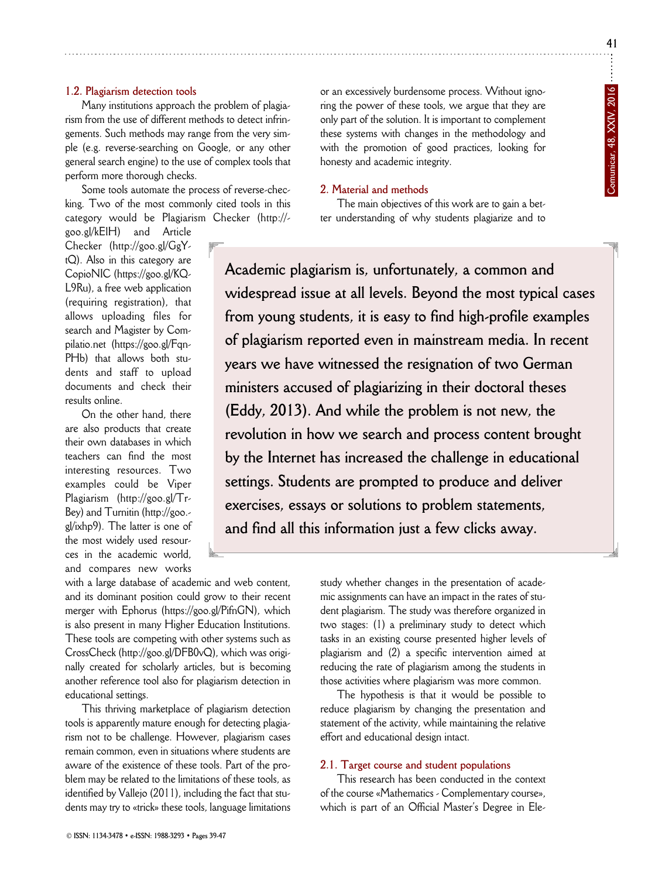**Comunicar, 48, XXIV, 2016**

Comunicar, 48, XXIV, 2016

#### **1.2. Plagiarism detection tools**

Many institutions approach the problem of plagiarism from the use of different methods to detect infringements. Such methods may range from the very simple (e.g. reverse-searching on Google, or any other general search engine) to the use of complex tools that perform more thorough checks.

Some tools automate the process of reverse-checking. Two of the most commonly cited tools in this category would be Plagiarism Checker (http://-

goo.gl/kElH) and Article Checker (http://goo.gl/GgY tQ). Also in this category are CopioNIC (https://goo.gl/KQ-L9Ru), a free web application (requiring registration), that allows uploading files for search and Magister by Compilatio.net (https://goo.gl/Fqn - PHb) that allows both students and staff to upload documents and check their results online.

On the other hand, there are also products that create their own databases in which teachers can find the most interesting resources. Two examples could be Viper Plagiarism (http://goo.gl/Tr-Bey) and Turnitin (http://goo. gl/ixhp9). The latter is one of the most widely used resources in the academic world, and compares new works

with a large database of academic and web content, and its dominant position could grow to their recent merger with Ephorus (https://goo.gl/PifnGN), which is also present in many Higher Education Institutions. These tools are competing with other systems such as CrossCheck (http://goo.gl/DFB0vQ), which was originally created for scholarly articles, but is becoming another reference tool also for plagiarism detection in educational settings.

This thriving marketplace of plagiarism detection tools is apparently mature enough for detecting plagiarism not to be challenge. However, plagiarism cases remain common, even in situations where students are aware of the existence of these tools. Part of the problem may be related to the limitations of these tools, as identified by Vallejo (2011), including the fact that students may try to «trick» these tools, language limitations or an excessively burdensome process. Without ignoring the power of these tools, we argue that they are only part of the solution. It is important to complement these systems with changes in the methodology and with the promotion of good practices, looking for honesty and academic integrity.

#### **2. Material and methods**

The main objectives of this work are to gain a better understanding of why students plagiarize and to

**Academic plagiarism is, unfortunately, a common and widespread issue at all levels. Beyond the most typical cases from young students, it is easy to find high-profile examples of plagiarism reported even in mainstream media. In recent years we have witnessed the resignation of two German ministers accused of plagiarizing in their doctoral theses (Eddy, 2013). And while the problem is not new, the revolution in how we search and process content brought by the Internet has increased the challenge in educational settings. Students are prompted to produce and deliver exercises, essays or solutions to problem statements, and find all this information just a few clicks away.**

> study whether changes in the presentation of academic assignments can have an impact in the rates of student plagiarism. The study was therefore organized in two stages: (1) a preliminary study to detect which tasks in an existing course presented higher levels of plagiarism and (2) a specific intervention aimed at reducing the rate of plagiarism among the students in those activities where plagiarism was more common.

> The hypothesis is that it would be possible to reduce plagiarism by changing the presentation and statement of the activity, while maintaining the relative effort and educational design intact.

#### **2.1. Target course and student populations**

This research has been conducted in the context of the course «Mathematics - Complementary course», which is part of an Official Master's Degree in Ele-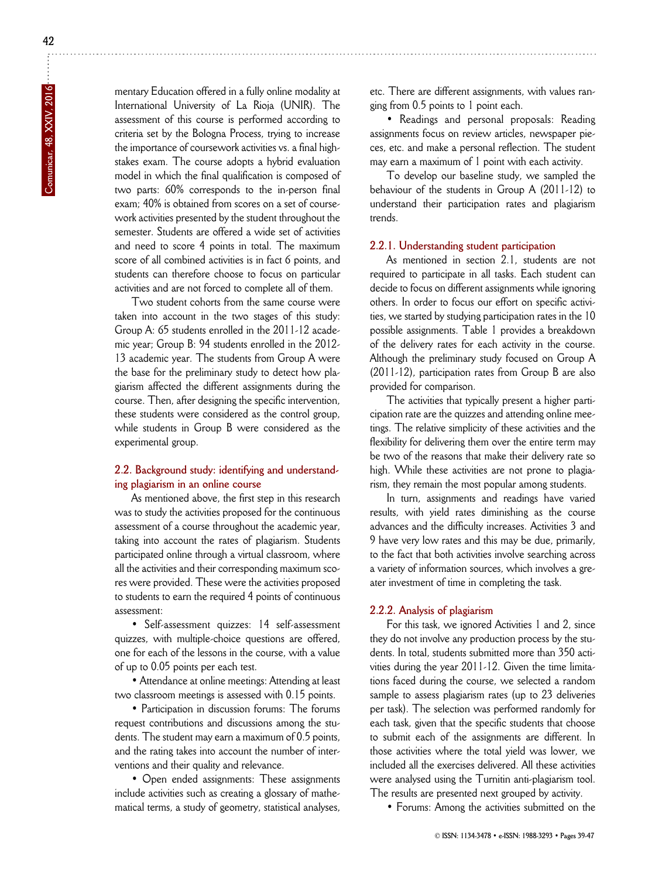mentary Education offered in a fully online modality at International University of La Rioja (UNIR). The assessment of this course is performed according to criteria set by the Bologna Process, trying to increase the importance of coursework activities vs. a final highstakes exam. The course adopts a hybrid evaluation model in which the final qualification is composed of two parts: 60% corresponds to the in-person final exam; 40% is obtained from scores on a set of coursework activities presented by the student throughout the semester. Students are offered a wide set of activities and need to score 4 points in total. The maximum score of all combined activities is in fact 6 points, and students can therefore choose to focus on particular activities and are not forced to complete all of them.

Two student cohorts from the same course were taken into account in the two stages of this study: Group A: 65 students enrolled in the 2011-12 academic year; Group B: 94 students enrolled in the 2012- 13 academic year. The students from Group A were the base for the preliminary study to detect how plagiarism affected the different assignments during the course. Then, after designing the specific intervention, these students were considered as the control group, while students in Group B were considered as the experimental group.

#### **2.2. Background study: identifying and understanding plagiarism in an online course**

As mentioned above, the first step in this research was to study the activities proposed for the continuous assessment of a course throughout the academic year, taking into account the rates of plagiarism. Students participated online through a virtual classroom, where all the activities and their corresponding maximum scores were provided. These were the activities proposed to students to earn the required 4 points of continuous assessment:

• Self-assessment quizzes: 14 self-assessment quizzes, with multiple-choice questions are offered, one for each of the lessons in the course, with a value of up to 0.05 points per each test.

• Attendance at online meetings: Attending at least two classroom meetings is assessed with 0.15 points.

• Participation in discussion forums: The forums request contributions and discussions among the students. The student may earn a maximum of 0.5 points, and the rating takes into account the number of interventions and their quality and relevance.

• Open ended assignments: These assignments include activities such as creating a glossary of mathematical terms, a study of geometry, statistical analyses,

etc. There are different assignments, with values ranging from 0.5 points to 1 point each.

• Readings and personal proposals: Reading assignments focus on review articles, newspaper pieces, etc. and make a personal reflection. The student may earn a maximum of 1 point with each activity.

To develop our baseline study, we sampled the behaviour of the students in Group A (2011-12) to understand their participation rates and plagiarism trends.

#### **2.2.1. Understanding student participation**

As mentioned in section 2.1, students are not required to participate in all tasks. Each student can decide to focus on different assignments while ignoring others. In order to focus our effort on specific activities, we started by studying participation rates in the 10 possible assignments. Table 1 provides a breakdown of the delivery rates for each activity in the course. Although the preliminary study focused on Group A (2011-12), participation rates from Group B are also provided for comparison.

The activities that typically present a higher participation rate are the quizzes and attending online meetings. The relative simplicity of these activities and the flexibility for delivering them over the entire term may be two of the reasons that make their delivery rate so high. While these activities are not prone to plagiarism, they remain the most popular among students.

In turn, assignments and readings have varied results, with yield rates diminishing as the course advances and the difficulty increases. Activities 3 and 9 have very low rates and this may be due, primarily, to the fact that both activities involve searching across a variety of information sources, which involves a greater investment of time in completing the task.

#### **2.2.2. Analysis of plagiarism**

For this task, we ignored Activities 1 and 2, since they do not involve any production process by the students. In total, students submitted more than 350 activities during the year 2011-12. Given the time limitations faced during the course, we selected a random sample to assess plagiarism rates (up to 23 deliveries per task). The selection was performed randomly for each task, given that the specific students that choose to submit each of the assignments are different. In those activities where the total yield was lower, we included all the exercises delivered. All these activities were analysed using the Turnitin anti-plagiarism tool. The results are presented next grouped by activity.

• Forums: Among the activities submitted on the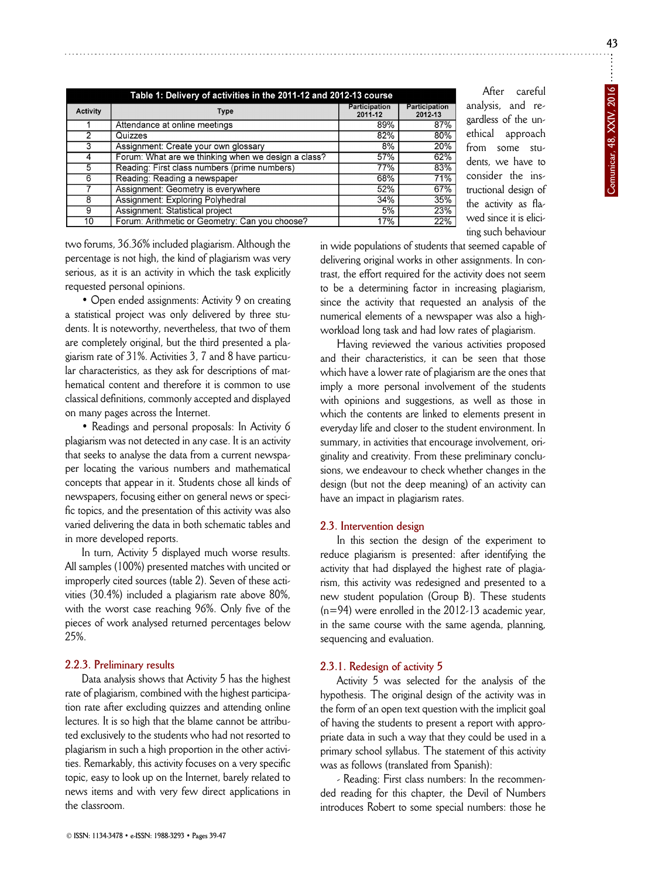| Table 1: Delivery of activities in the 2011-12 and 2012-13 course |                                                     |                                 |                          |  |  |
|-------------------------------------------------------------------|-----------------------------------------------------|---------------------------------|--------------------------|--|--|
| Activity                                                          | Type                                                | <b>Participation</b><br>2011-12 | Participation<br>2012-13 |  |  |
|                                                                   | Attendance at online meetings                       | 89%                             | 87%                      |  |  |
| 2                                                                 | Quizzes                                             | 82%                             | 80%                      |  |  |
| 3                                                                 | Assignment: Create your own glossary                | 8%                              | 20%                      |  |  |
| 4                                                                 | Forum: What are we thinking when we design a class? | 57%                             | 62%                      |  |  |
| 5                                                                 | Reading: First class numbers (prime numbers)        | 77%                             | 83%                      |  |  |
| 6                                                                 | Reading: Reading a newspaper                        | 68%                             | 71%                      |  |  |
|                                                                   | Assignment: Geometry is everywhere                  | 52%                             | 67%                      |  |  |
| 8                                                                 | Assignment: Exploring Polyhedral                    | 34%                             | 35%                      |  |  |
| 9                                                                 | Assignment: Statistical project                     | 5%                              | 23%                      |  |  |
| 10                                                                | Forum: Arithmetic or Geometry: Can you choose?      | 17%                             | 22%                      |  |  |

After careful analysis, and regardless of the unethical approach from some students, we have to consider the instructional design of the activity as flawed since it is eliciting such behaviour

two forums, 36.36% included plagiarism. Although the percentage is not high, the kind of plagiarism was very serious, as it is an activity in which the task explicitly requested personal opinions.

• Open ended assignments: Activity 9 on creating a statistical project was only delivered by three students. It is noteworthy, nevertheless, that two of them are completely original, but the third presented a plagiarism rate of 31%. Activities 3, 7 and 8 have particular characteristics, as they ask for descriptions of mathematical content and therefore it is common to use classical definitions, commonly accepted and displayed on many pages across the Internet.

• Readings and personal proposals: In Activity 6 plagiarism was not detected in any case. It is an activity that seeks to analyse the data from a current newspaper locating the various numbers and mathematical concepts that appear in it. Students chose all kinds of newspapers, focusing either on general news or specific topics, and the presentation of this activity was also varied delivering the data in both schematic tables and in more developed reports.

In turn, Activity 5 displayed much worse results. All samples (100%) presented matches with uncited or improperly cited sources (table 2). Seven of these activities (30.4%) included a plagiarism rate above 80%, with the worst case reaching 96%. Only five of the pieces of work analysed returned percentages below 25%.

#### **2.2.3. Preliminary results**

Data analysis shows that Activity 5 has the highest rate of plagiarism, combined with the highest participation rate after excluding quizzes and attending online lectures. It is so high that the blame cannot be attributed exclusively to the students who had not resorted to plagiarism in such a high proportion in the other activities. Remarkably, this activity focuses on a very specific topic, easy to look up on the Internet, barely related to news items and with very few direct applications in the classroom.

in wide populations of students that seemed capable of delivering original works in other assignments. In contrast, the effort required for the activity does not seem to be a determining factor in increasing plagiarism, since the activity that requested an analysis of the numerical elements of a newspaper was also a highworkload long task and had low rates of plagiarism.

Having reviewed the various activities proposed and their characteristics, it can be seen that those which have a lower rate of plagiarism are the ones that imply a more personal involvement of the students with opinions and suggestions, as well as those in which the contents are linked to elements present in everyday life and closer to the student environment. In summary, in activities that encourage involvement, originality and creativity. From these preliminary conclusions, we endeavour to check whether changes in the design (but not the deep meaning) of an activity can have an impact in plagiarism rates.

#### **2.3. Intervention design**

In this section the design of the experiment to reduce plagiarism is presented: after identifying the activity that had displayed the highest rate of plagiarism, this activity was redesigned and presented to a new student population (Group B). These students (n=94) were enrolled in the 2012-13 academic year, in the same course with the same agenda, planning, sequencing and evaluation.

#### **2.3.1. Redesign of activity 5**

Activity 5 was selected for the analysis of the hypothesis. The original design of the activity was in the form of an open text question with the implicit goal of having the students to present a report with appropriate data in such a way that they could be used in a primary school syllabus. The statement of this activity was as follows (translated from Spanish):

- Reading: First class numbers: In the recommended reading for this chapter, the Devil of Numbers introduces Robert to some special numbers: those he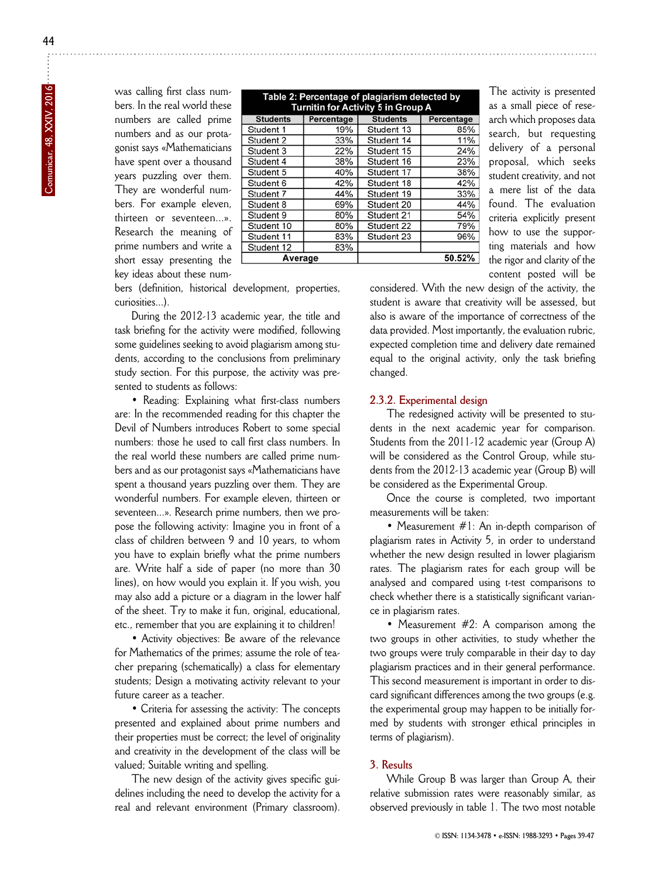was calling first class numbers. In the real world these numbers are called prime numbers and as our protagonist says «Mathematicians have spent over a thousand years puzzling over them. They are wonderful numbers. For example eleven, thirteen or seventeen...». Research the meaning of prime numbers and write a short essay presenting the key ideas about these num-

| Table 2: Percentage of plagiarism detected by<br><b>Turnitin for Activity 5 in Group A</b> |            |                 |            |  |  |  |
|--------------------------------------------------------------------------------------------|------------|-----------------|------------|--|--|--|
| <b>Students</b>                                                                            | Percentage | <b>Students</b> | Percentage |  |  |  |
| Student 1                                                                                  | 19%        | Student 13      | 85%        |  |  |  |
| Student 2                                                                                  | 33%        | Student 14      | 11%        |  |  |  |
| Student 3                                                                                  | 22%        | Student 15      | 24%        |  |  |  |
| Student 4                                                                                  | 38%        | Student 16      | 23%        |  |  |  |
| Student 5                                                                                  | 40%        | Student 17      | 38%        |  |  |  |
| Student 6                                                                                  | 42%        | Student 18      | 42%        |  |  |  |
| Student 7                                                                                  | 44%        | Student 19      | 33%        |  |  |  |
| Student 8                                                                                  | 69%        | Student 20      | 44%        |  |  |  |
| Student 9                                                                                  | 80%        | Student 21      | 54%        |  |  |  |
| Student 10                                                                                 | 80%        | Student 22      | 79%        |  |  |  |
| Student 11                                                                                 | 83%        | Student 23      | 96%        |  |  |  |
| Student 12                                                                                 | 83%        |                 |            |  |  |  |
| Average                                                                                    |            |                 | 50.52%     |  |  |  |

The activity is presented as a small piece of research which proposes data search, but requesting delivery of a personal proposal, which seeks student creativity, and not a mere list of the data found. The evaluation criteria explicitly present how to use the supporting materials and how the rigor and clarity of the content posted will be

bers (definition, historical development, properties, curiosities...).

During the 2012-13 academic year, the title and task briefing for the activity were modified, following some guidelines seeking to avoid plagiarism among students, according to the conclusions from preliminary study section. For this purpose, the activity was presented to students as follows:

• Reading: Explaining what first-class numbers are: In the recommended reading for this chapter the Devil of Numbers introduces Robert to some special numbers: those he used to call first class numbers. In the real world these numbers are called prime numbers and as our protagonist says «Mathematicians have spent a thousand years puzzling over them. They are wonderful numbers. For example eleven, thirteen or seventeen...». Research prime numbers, then we propose the following activity: Imagine you in front of a class of children between 9 and 10 years, to whom you have to explain briefly what the prime numbers are. Write half a side of paper (no more than 30 lines), on how would you explain it. If you wish, you may also add a picture or a diagram in the lower half of the sheet. Try to make it fun, original, educational, etc., remember that you are explaining it to children!

• Activity objectives: Be aware of the relevance for Mathematics of the primes; assume the role of teacher preparing (schematically) a class for elementary students; Design a motivating activity relevant to your future career as a teacher.

• Criteria for assessing the activity: The concepts presented and explained about prime numbers and their properties must be correct; the level of originality and creativity in the development of the class will be valued; Suitable writing and spelling.

The new design of the activity gives specific guidelines including the need to develop the activity for a real and relevant environment (Primary classroom).

considered. With the new design of the activity, the student is aware that creativity will be assessed, but also is aware of the importance of correctness of the data provided. Most importantly, the evaluation rubric, expected completion time and delivery date remained equal to the original activity, only the task briefing changed.

#### **2.3.2. Experimental design**

The redesigned activity will be presented to students in the next academic year for comparison. Students from the 2011-12 academic year (Group A) will be considered as the Control Group, while students from the 2012-13 academic year (Group B) will be considered as the Experimental Group.

Once the course is completed, two important measurements will be taken:

• Measurement #1: An in-depth comparison of plagiarism rates in Activity 5, in order to understand whether the new design resulted in lower plagiarism rates. The plagiarism rates for each group will be analysed and compared using t-test comparisons to check whether there is a statistically significant variance in plagiarism rates.

• Measurement #2: A comparison among the two groups in other activities, to study whether the two groups were truly comparable in their day to day plagiarism practices and in their general performance. This second measurement is important in order to discard significant differences among the two groups (e.g. the experimental group may happen to be initially formed by students with stronger ethical principles in terms of plagiarism).

#### **3. Results**

While Group B was larger than Group A, their relative submission rates were reasonably similar, as observed previously in table 1. The two most notable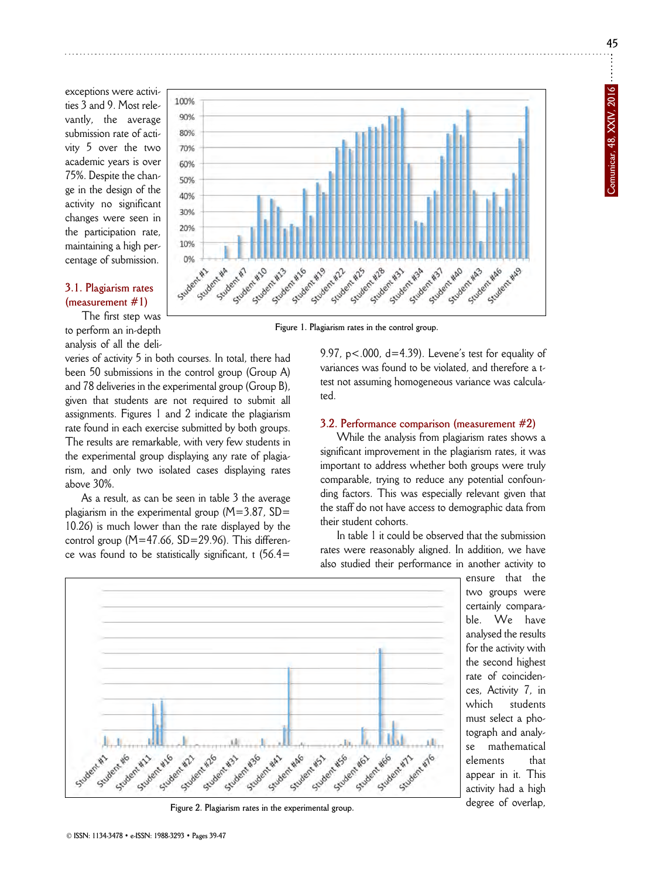exceptions were activities 3 and 9. Most relevantly, the average submission rate of activity 5 over the two academic years is over 75%. Despite the change in the design of the activity no significant changes were seen in the participation rate, maintaining a high percentage of submission.

#### **3.1. Plagiarism rates (measurement #1)**

The first step was to perform an in-depth analysis of all the deli-

veries of activity 5 in both courses. In total, there had been 50 submissions in the control group (Group A) and 78 deliveries in the experimental group (Group B), given that students are not required to submit all assignments. Figures 1 and 2 indicate the plagiarism rate found in each exercise submitted by both groups. The results are remarkable, with very few students in the experimental group displaying any rate of plagiarism, and only two isolated cases displaying rates above 30%.

As a result, as can be seen in table 3 the average plagiarism in the experimental group  $(M=3.87, SD=$ 10.26) is much lower than the rate displayed by the control group  $(M=47.66, SD=29.96)$ . This difference was found to be statistically significant, t  $(56.4=$ 



9.97,  $p < .000$ ,  $d = 4.39$ ). Levene's test for equality of variances was found to be violated, and therefore a ttest not assuming homogeneous variance was calculated.

#### **3.2. Performance comparison (measurement #2)**

While the analysis from plagiarism rates shows a significant improvement in the plagiarism rates, it was important to address whether both groups were truly comparable, trying to reduce any potential confounding factors. This was especially relevant given that the staff do not have access to demographic data from their student cohorts.

In table 1 it could be observed that the submission rates were reasonably aligned. In addition, we have also studied their performance in another activity to

> ensure that the two groups were certainly comparable. We have analysed the results for the activity with the second highest rate of coincidences, Activity 7, in which students must select a photograph and analyse mathematical elements that appear in it. This activity had a high degree of overlap,



**Figure 2. Plagiarism rates in the experimental group.**

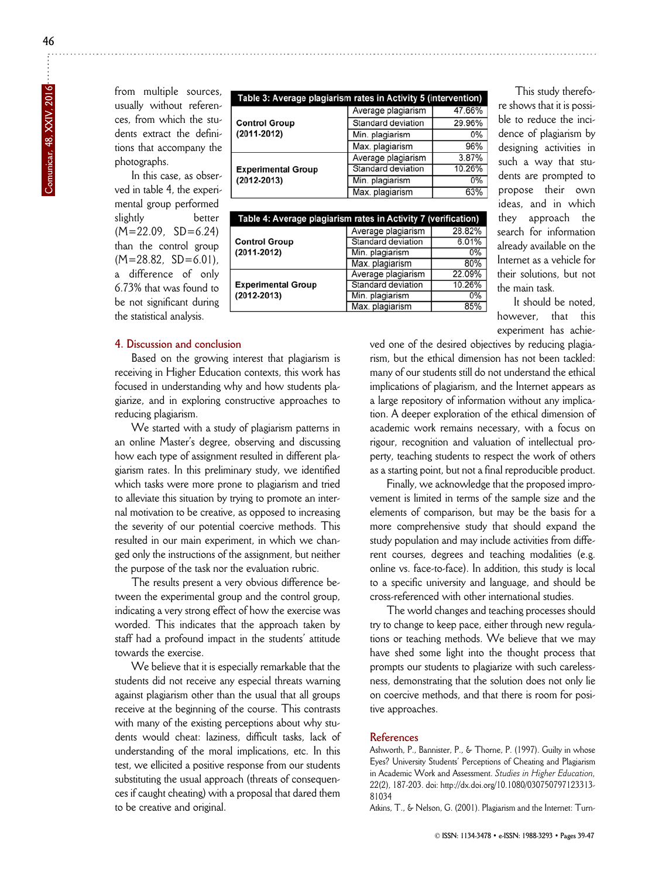from multiple sources, usually without references, from which the students extract the definitions that accompany the photographs.

In this case, as observed in table 4, the experimental group performed slightly better  $(M=22.09, SD=6.24)$ than the control group  $(M=28.82, SD=6.01)$ , a difference of only 6.73% that was found to be not significant during the statistical analysis.

| Table 3: Average plagiarism rates in Activity 5 (intervention) |                           |        |  |  |  |
|----------------------------------------------------------------|---------------------------|--------|--|--|--|
|                                                                | Average plagiarism        | 47.66% |  |  |  |
| <b>Control Group</b>                                           | Standard deviation        | 29.96% |  |  |  |
| $(2011 - 2012)$                                                | Min. plagiarism           | 0%     |  |  |  |
|                                                                | Max. plagiarism           | 96%    |  |  |  |
|                                                                | Average plagiarism        | 3.87%  |  |  |  |
| <b>Experimental Group</b>                                      | <b>Standard deviation</b> | 10.26% |  |  |  |
| $(2012 - 2013)$                                                | Min. plagiarism           | 0%     |  |  |  |
|                                                                | Max. plagiarism           | 63%    |  |  |  |

| Table 4: Average plagiarism rates in Activity 7 (verification) |                    |        |  |  |  |
|----------------------------------------------------------------|--------------------|--------|--|--|--|
|                                                                | Average plagiarism | 28.82% |  |  |  |
| <b>Control Group</b>                                           | Standard deviation | 6.01%  |  |  |  |
| $(2011 - 2012)$                                                | Min. plagiarism    | 0%     |  |  |  |
|                                                                | Max. plagiarism    | 80%    |  |  |  |
|                                                                | Average plagiarism | 22.09% |  |  |  |
| <b>Experimental Group</b>                                      | Standard deviation | 10.26% |  |  |  |
| $(2012 - 2013)$                                                | Min. plagiarism    | 0%     |  |  |  |
|                                                                | Max. plagiarism    | 85%    |  |  |  |

#### **4. Discussion and conclusion**

Based on the growing interest that plagiarism is receiving in Higher Education contexts, this work has focused in understanding why and how students plagiarize, and in exploring constructive approaches to reducing plagiarism.

We started with a study of plagiarism patterns in an online Master's degree, observing and discussing how each type of assignment resulted in different plagiarism rates. In this preliminary study, we identified which tasks were more prone to plagiarism and tried to alleviate this situation by trying to promote an internal motivation to be creative, as opposed to increasing the severity of our potential coercive methods. This resulted in our main experiment, in which we changed only the instructions of the assignment, but neither the purpose of the task nor the evaluation rubric.

The results present a very obvious difference between the experimental group and the control group, indicating a very strong effect of how the exercise was worded. This indicates that the approach taken by staff had a profound impact in the students' attitude towards the exercise.

We believe that it is especially remarkable that the students did not receive any especial threats warning against plagiarism other than the usual that all groups receive at the beginning of the course. This contrasts with many of the existing perceptions about why students would cheat: laziness, difficult tasks, lack of understanding of the moral implications, etc. In this test, we ellicited a positive response from our students substituting the usual approach (threats of consequences if caught cheating) with a proposal that dared them to be creative and original.

This study therefore shows that it is possible to reduce the incidence of plagiarism by designing activities in such a way that students are prompted to propose their own ideas, and in which they approach the search for information already available on the Internet as a vehicle for their solutions, but not the main task.

It should be noted, however, that this experiment has achie-

ved one of the desired objectives by reducing plagiarism, but the ethical dimension has not been tackled: many of our students still do not understand the ethical implications of plagiarism, and the Internet appears as a large repository of information without any implication. A deeper exploration of the ethical dimension of academic work remains necessary, with a focus on rigour, recognition and valuation of intellectual property, teaching students to respect the work of others as a starting point, but not a final reproducible product.

Finally, we acknowledge that the proposed improvement is limited in terms of the sample size and the elements of comparison, but may be the basis for a more comprehensive study that should expand the study population and may include activities from different courses, degrees and teaching modalities (e.g. online vs. face-to-face). In addition, this study is local to a specific university and language, and should be cross-referenced with other international studies.

The world changes and teaching processes should try to change to keep pace, either through new regulations or teaching methods. We believe that we may have shed some light into the thought process that prompts our students to plagiarize with such carelessness, demonstrating that the solution does not only lie on coercive methods, and that there is room for positive approaches.

#### **References**

Ashworth, P., Bannister, P., & Thorne, P. (1997). Guilty in whose Eyes? University Students' Perceptions of Cheating and Plagiarism in Academic Work and Assessment. *Studies in Higher Education,* 22(2), 187-203. doi: http://dx.doi.org/10.1080/030750797123313 - 81034

Atkins, T., & Nelson, G. (2001). Plagiarism and the Internet: Turn-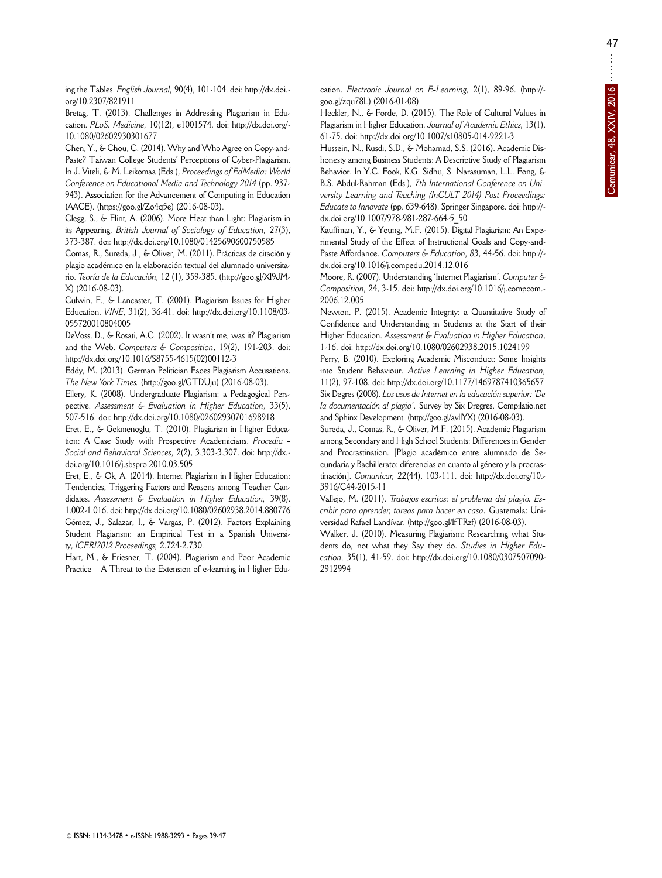ing the Tables. *English Journal,* 90(4), 101-104. doi: http://dx.doi. org/10.2307/821911

Bretag, T. (2013). Challenges in Addressing Plagiarism in Education. *PLoS. Medicine,* 10(12), e1001574. doi: http://dx.doi.org/ - 10.1080/02602930301677

Chen, Y., & Chou, C. (2014). Why and Who Agree on Copy-and-Paste? Taiwan College Students' Perceptions of Cyber-Plagiarism. In J. Viteli, & M. Leikomaa (Eds.), *Proceedings of EdMedia: World Conference on Educational Media and Technology 2014* (pp. 937- 943). Association for the Advancement of Computing in Education (AACE). (https://goo.gl/Zo4q5e) (2016-08-03).

Clegg, S., & Flint, A. (2006). More Heat than Light: Plagiarism in its Appearing. *British Journal of Sociology of Education,* 27(3), 373-387. doi: http://dx.doi.org/10.1080/01425690600750585

Comas, R., Sureda, J., & Oliver, M. (2011). Prácticas de citación y plagio académico en la elaboración textual del alumnado universitario. *Teoría de la Educación,* 12 (1), 359-385. (http://goo.gl/Xl9JM - X) (2016-08-03).

Culwin, F., & Lancaster, T. (2001). Plagiarism Issues for Higher Education. *VINE,* 31(2), 36-41. doi: http://dx.doi.org/10.1108/03 - 055720010804005

DeVoss, D., & Rosati, A.C. (2002). It wasn't me, was it? Plagiarism and the Web. *Computers & Composition*, 19(2), 191-203. doi: http://dx.doi.org/10.1016/S8755-4615(02)00112-3

Eddy, M. (2013). German Politician Faces Plagiarism Accusations. *The New York Times.* (http://goo.gl/GTDUju) (2016-08-03).

Ellery, K. (2008). Undergraduate Plagiarism: a Pedagogical Perspective. *Assessment & Evaluation in Higher Education*, 33(5), 507-516. doi: http://dx.doi.org/10.1080/02602930701698918

Eret, E., & Gokmenoglu, T. (2010). Plagiarism in Higher Educa tion: A Case Study with Prospective Academicians. *Procedia - Social and Behavioral Sciences*, 2(2), 3.303-3.307. doi: http://dx. doi.org/10.1016/j.sbspro.2010.03.505

Eret, E., & Ok, A. (2014). Internet Plagiarism in Higher Education: Tendencies, Triggering Factors and Reasons among Teacher Can didates. *Assessment & Evaluation in Higher Education,* 39(8), 1.002-1.016. doi: http://dx.doi.org/10.1080/02602938.2014.880776 Gómez, J., Salazar, I., & Vargas, P. (2012). Factors Explaining

Student Plagiarism: an Empirical Test in a Spanish University, *ICERI2012 Proceedings,* 2.724-2.730. Hart, M., & Friesner, T. (2004). Plagiarism and Poor Academic Practice – A Threat to the Extension of e-learning in Higher Education. *Electronic Journal on E-Learning,* 2(1), 89-96. (http:// goo.gl/zqu78L) (2016-01-08)

Heckler, N., & Forde, D. (2015). The Role of Cultural Values in Plagiarism in Higher Education. *Journal of Academic Ethics,* 13(1), 61-75. doi: http://dx.doi.org/10.1007/s10805-014-9221-3

Hussein, N., Rusdi, S.D., & Mohamad, S.S. (2016). Academic Dis honesty among Business Students: A Descriptive Study of Plagiarism Behavior. In Y.C. Fook, K.G. Sidhu, S. Narasuman, L.L. Fong, & B.S. Abdul-Rahman (Eds.), *7th International Conference on Uni versity Learning and Teaching (InCULT 2014) Post-Proceedings: Educate to Innovate* (pp. 639-648). Springer Singapore. doi: http:// dx.doi.org/10.1007/978-981-287-664-5\_50

Kauffman, Y., & Young, M.F. (2015). Digital Plagiarism: An Experimental Study of the Effect of Instructional Goals and Copy-and-Paste Affordance. *Computers & Education*, 83, 44-56. doi: http://dx.doi.org/10.1016/j.compedu.2014.12.016

Moore, R. (2007). Understanding 'Internet Plagiarism'. *Computer & Composition,* 24, 3-15. doi: http://dx.doi.org/10.1016/j.compcom. - 2006.12.005

Newton, P. (2015). Academic Integrity: a Quantitative Study of Confidence and Understanding in Students at the Start of their Higher Education. *Assessment & Evaluation in Higher Education*, 1-16. doi: http://dx.doi.org/10.1080/02602938.2015.1024199

Perry, B. (2010). Exploring Academic Misconduct: Some Insights into Student Behaviour. *Active Learning in Higher Education,* 11(2), 97-108. doi: http://dx.doi.org/10.1177/1469787410365657 Six Degres (2008). *Los usos de Internet en la educación superior: 'De* la documentación al plagio<sup>'</sup>. Survey by Six Dregres, Compilatio.net and Sphinx Development. (http://goo.gl/avllYX) (2016-08-03).

Sureda, J., Comas, R., & Oliver, M.F. (2015). Academic Plagiarism among Secondary and High School Students: Differences in Gender and Procrastination. [Plagio académico entre alumnado de Secundaria y Bachillerato: diferencias en cuanto al género y la procrastinación]. *Comunicar,* 22(44), 103-111. doi: http://dx.doi.org/10. - 3916/C44-2015-11

Vallejo, M. (2011). *Trabajos escritos: el problema del plagio. Es cribir para aprender, tareas para hacer en casa.* Guatemala: Uni versidad Rafael Landívar. (http://goo.gl/lfTRzf) (2016-08-03).

Walker, J. (2010). Measuring Plagiarism: Researching what Students do, not what they Say they do. *Studies in Higher Edu cation,* 35(1), 41-59. doi: http://dx.doi.org/10.1080/0307507090 - 2912994